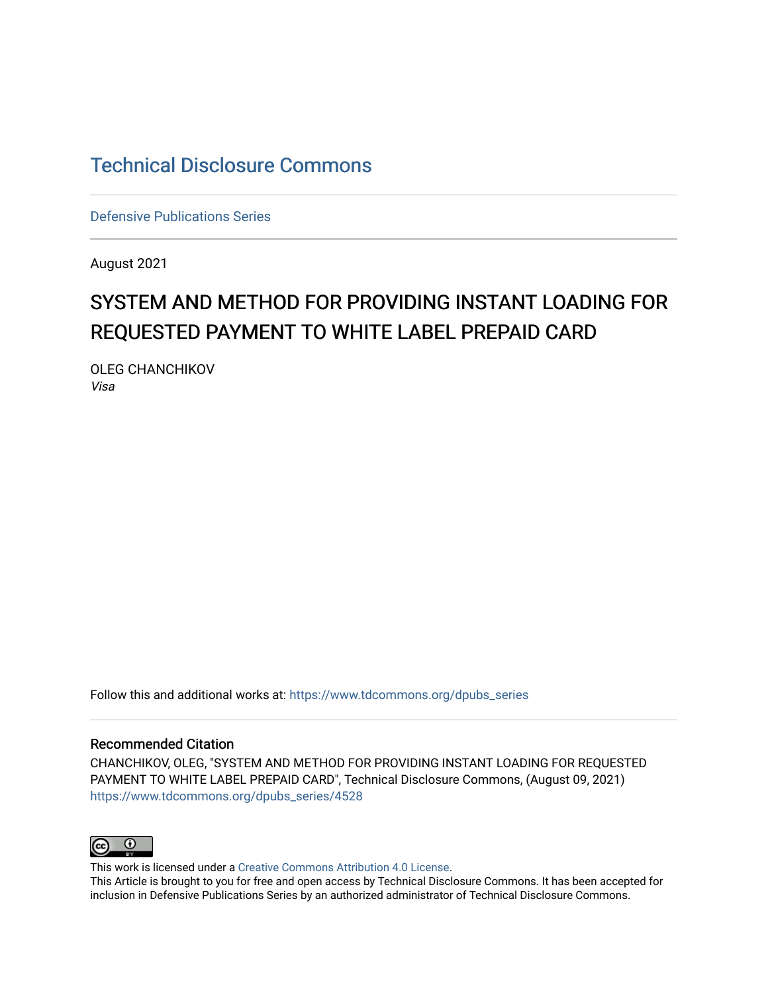# [Technical Disclosure Commons](https://www.tdcommons.org/)

[Defensive Publications Series](https://www.tdcommons.org/dpubs_series)

August 2021

# SYSTEM AND METHOD FOR PROVIDING INSTANT LOADING FOR REQUESTED PAYMENT TO WHITE LABEL PREPAID CARD

OLEG CHANCHIKOV Visa

Follow this and additional works at: [https://www.tdcommons.org/dpubs\\_series](https://www.tdcommons.org/dpubs_series?utm_source=www.tdcommons.org%2Fdpubs_series%2F4528&utm_medium=PDF&utm_campaign=PDFCoverPages) 

#### Recommended Citation

CHANCHIKOV, OLEG, "SYSTEM AND METHOD FOR PROVIDING INSTANT LOADING FOR REQUESTED PAYMENT TO WHITE LABEL PREPAID CARD", Technical Disclosure Commons, (August 09, 2021) [https://www.tdcommons.org/dpubs\\_series/4528](https://www.tdcommons.org/dpubs_series/4528?utm_source=www.tdcommons.org%2Fdpubs_series%2F4528&utm_medium=PDF&utm_campaign=PDFCoverPages)



This work is licensed under a [Creative Commons Attribution 4.0 License](http://creativecommons.org/licenses/by/4.0/deed.en_US).

This Article is brought to you for free and open access by Technical Disclosure Commons. It has been accepted for inclusion in Defensive Publications Series by an authorized administrator of Technical Disclosure Commons.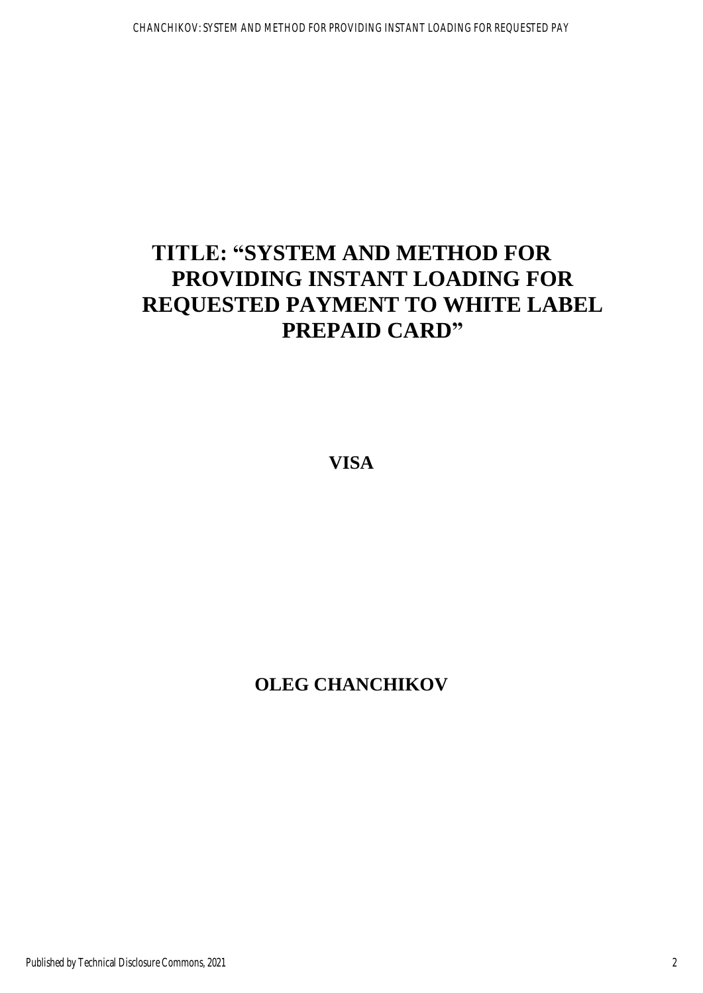# **TITLE: "SYSTEM AND METHOD FOR PROVIDING INSTANT LOADING FOR REQUESTED PAYMENT TO WHITE LABEL PREPAID CARD"**

**VISA** 

# **OLEG CHANCHIKOV**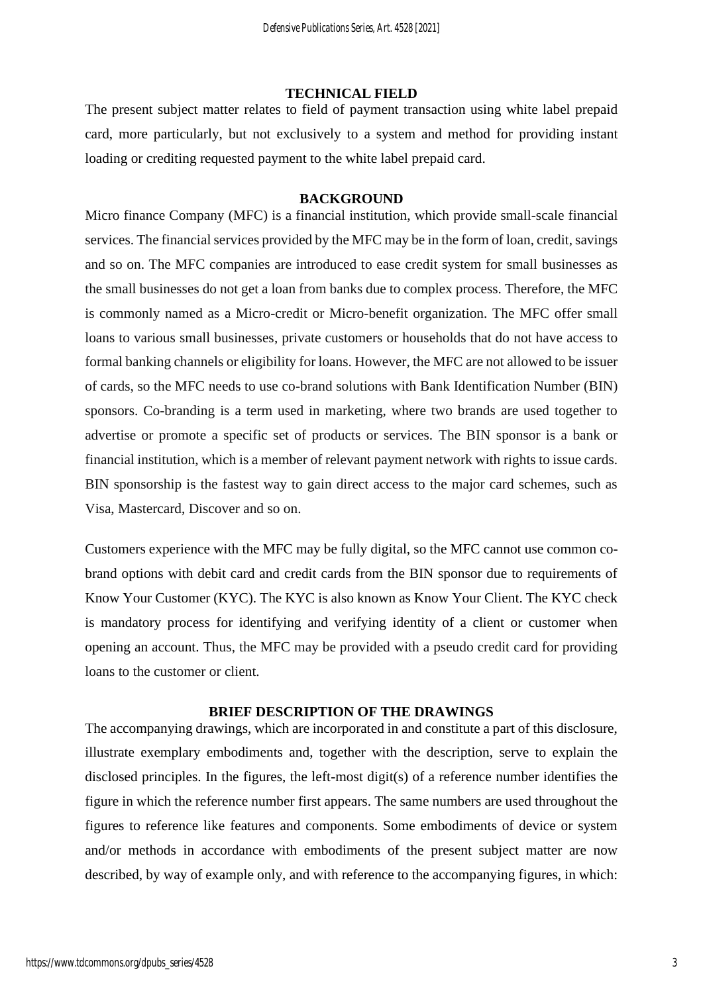### **TECHNICAL FIELD**

The present subject matter relates to field of payment transaction using white label prepaid card, more particularly, but not exclusively to a system and method for providing instant loading or crediting requested payment to the white label prepaid card.

### **BACKGROUND**

Micro finance Company (MFC) is a financial institution, which provide small-scale financial services. The financial services provided by the MFC may be in the form of loan, credit, savings and so on. The MFC companies are introduced to ease credit system for small businesses as the small businesses do not get a loan from banks due to complex process. Therefore, the MFC is commonly named as a Micro-credit or Micro-benefit organization. The MFC offer small loans to various small businesses, private customers or households that do not have access to formal banking channels or eligibility for loans. However, the MFC are not allowed to be issuer of cards, so the MFC needs to use co-brand solutions with Bank Identification Number (BIN) sponsors. Co-branding is a term used in marketing, where two brands are used together to advertise or promote a specific set of products or services. The BIN sponsor is a bank or financial institution, which is a member of relevant payment network with rights to issue cards. BIN sponsorship is the fastest way to gain direct access to the major card schemes, such as Visa, Mastercard, Discover and so on.

Customers experience with the MFC may be fully digital, so the MFC cannot use common cobrand options with debit card and credit cards from the BIN sponsor due to requirements of Know Your Customer (KYC). The KYC is also known as Know Your Client. The KYC check is mandatory process for identifying and verifying identity of a client or customer when opening an account. Thus, the MFC may be provided with a pseudo credit card for providing loans to the customer or client.

#### **BRIEF DESCRIPTION OF THE DRAWINGS**

The accompanying drawings, which are incorporated in and constitute a part of this disclosure, illustrate exemplary embodiments and, together with the description, serve to explain the disclosed principles. In the figures, the left-most digit(s) of a reference number identifies the figure in which the reference number first appears. The same numbers are used throughout the figures to reference like features and components. Some embodiments of device or system and/or methods in accordance with embodiments of the present subject matter are now described, by way of example only, and with reference to the accompanying figures, in which: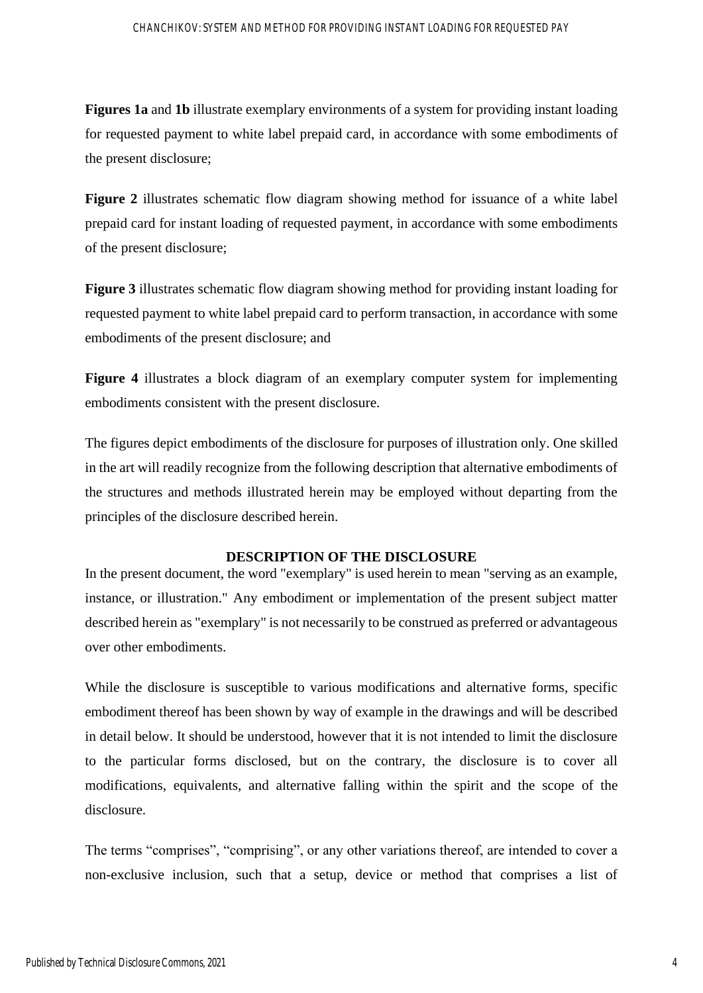**Figures 1a** and **1b** illustrate exemplary environments of a system for providing instant loading for requested payment to white label prepaid card, in accordance with some embodiments of the present disclosure;

**Figure 2** illustrates schematic flow diagram showing method for issuance of a white label prepaid card for instant loading of requested payment, in accordance with some embodiments of the present disclosure;

**Figure 3** illustrates schematic flow diagram showing method for providing instant loading for requested payment to white label prepaid card to perform transaction, in accordance with some embodiments of the present disclosure; and

**Figure 4** illustrates a block diagram of an exemplary computer system for implementing embodiments consistent with the present disclosure.

The figures depict embodiments of the disclosure for purposes of illustration only. One skilled in the art will readily recognize from the following description that alternative embodiments of the structures and methods illustrated herein may be employed without departing from the principles of the disclosure described herein.

#### **DESCRIPTION OF THE DISCLOSURE**

In the present document, the word "exemplary" is used herein to mean "serving as an example, instance, or illustration." Any embodiment or implementation of the present subject matter described herein as "exemplary" is not necessarily to be construed as preferred or advantageous over other embodiments.

While the disclosure is susceptible to various modifications and alternative forms, specific embodiment thereof has been shown by way of example in the drawings and will be described in detail below. It should be understood, however that it is not intended to limit the disclosure to the particular forms disclosed, but on the contrary, the disclosure is to cover all modifications, equivalents, and alternative falling within the spirit and the scope of the disclosure.

The terms "comprises", "comprising", or any other variations thereof, are intended to cover a non-exclusive inclusion, such that a setup, device or method that comprises a list of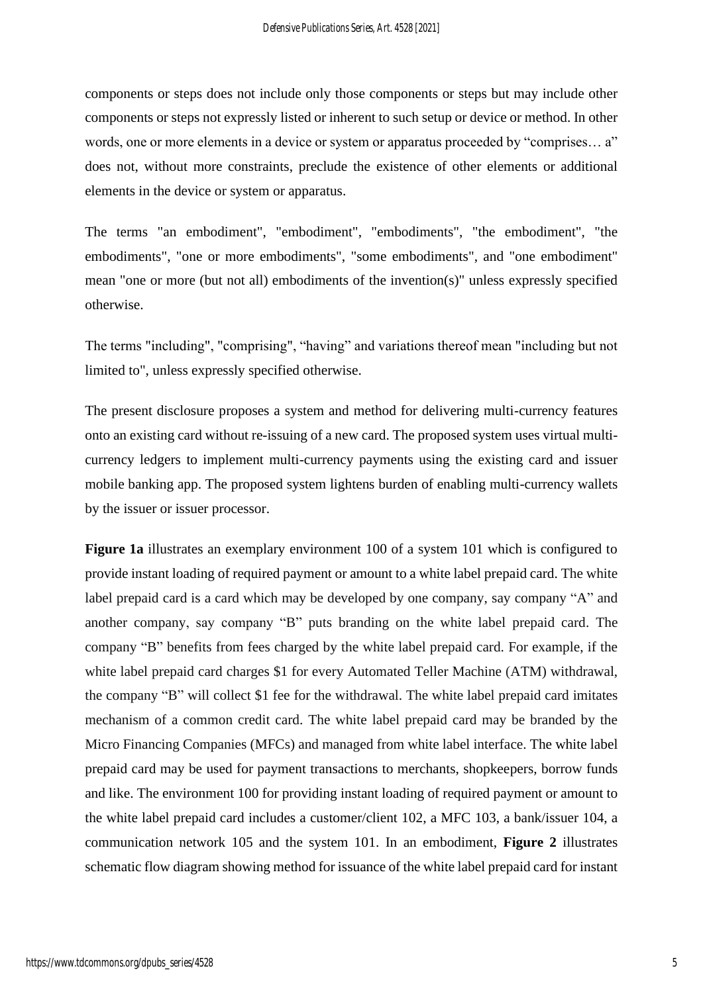components or steps does not include only those components or steps but may include other components or steps not expressly listed or inherent to such setup or device or method. In other words, one or more elements in a device or system or apparatus proceeded by "comprises... a" does not, without more constraints, preclude the existence of other elements or additional elements in the device or system or apparatus.

The terms "an embodiment", "embodiment", "embodiments", "the embodiment", "the embodiments", "one or more embodiments", "some embodiments", and "one embodiment" mean "one or more (but not all) embodiments of the invention(s)" unless expressly specified otherwise.

The terms "including", "comprising", "having" and variations thereof mean "including but not limited to", unless expressly specified otherwise.

The present disclosure proposes a system and method for delivering multi-currency features onto an existing card without re-issuing of a new card. The proposed system uses virtual multicurrency ledgers to implement multi-currency payments using the existing card and issuer mobile banking app. The proposed system lightens burden of enabling multi-currency wallets by the issuer or issuer processor.

**Figure 1a** illustrates an exemplary environment 100 of a system 101 which is configured to provide instant loading of required payment or amount to a white label prepaid card. The white label prepaid card is a card which may be developed by one company, say company "A" and another company, say company "B" puts branding on the white label prepaid card. The company "B" benefits from fees charged by the white label prepaid card. For example, if the white label prepaid card charges \$1 for every Automated Teller Machine (ATM) withdrawal, the company "B" will collect \$1 fee for the withdrawal. The white label prepaid card imitates mechanism of a common credit card. The white label prepaid card may be branded by the Micro Financing Companies (MFCs) and managed from white label interface. The white label prepaid card may be used for payment transactions to merchants, shopkeepers, borrow funds and like. The environment 100 for providing instant loading of required payment or amount to the white label prepaid card includes a customer/client 102, a MFC 103, a bank/issuer 104, a communication network 105 and the system 101. In an embodiment, **Figure 2** illustrates schematic flow diagram showing method for issuance of the white label prepaid card for instant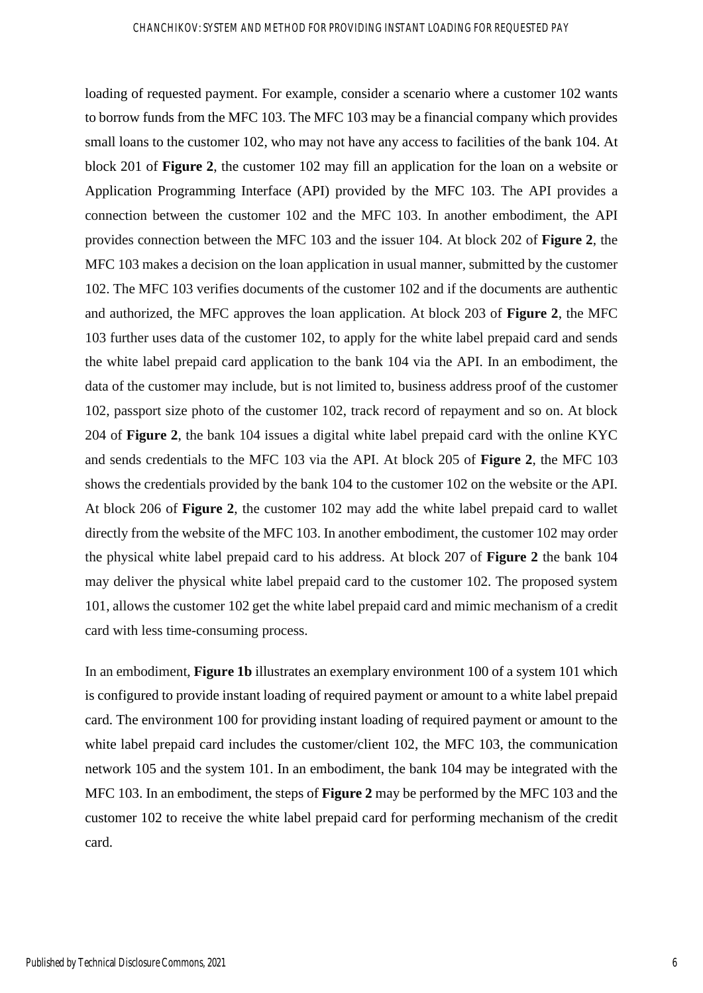loading of requested payment. For example, consider a scenario where a customer 102 wants to borrow funds from the MFC 103. The MFC 103 may be a financial company which provides small loans to the customer 102, who may not have any access to facilities of the bank 104. At block 201 of **Figure 2**, the customer 102 may fill an application for the loan on a website or Application Programming Interface (API) provided by the MFC 103. The API provides a connection between the customer 102 and the MFC 103. In another embodiment, the API provides connection between the MFC 103 and the issuer 104. At block 202 of **Figure 2**, the MFC 103 makes a decision on the loan application in usual manner, submitted by the customer 102. The MFC 103 verifies documents of the customer 102 and if the documents are authentic and authorized, the MFC approves the loan application. At block 203 of **Figure 2**, the MFC 103 further uses data of the customer 102, to apply for the white label prepaid card and sends the white label prepaid card application to the bank 104 via the API. In an embodiment, the data of the customer may include, but is not limited to, business address proof of the customer 102, passport size photo of the customer 102, track record of repayment and so on. At block 204 of **Figure 2**, the bank 104 issues a digital white label prepaid card with the online KYC and sends credentials to the MFC 103 via the API. At block 205 of **Figure 2**, the MFC 103 shows the credentials provided by the bank 104 to the customer 102 on the website or the API. At block 206 of **Figure 2**, the customer 102 may add the white label prepaid card to wallet directly from the website of the MFC 103. In another embodiment, the customer 102 may order the physical white label prepaid card to his address. At block 207 of **Figure 2** the bank 104 may deliver the physical white label prepaid card to the customer 102. The proposed system 101, allows the customer 102 get the white label prepaid card and mimic mechanism of a credit card with less time-consuming process.

In an embodiment, **Figure 1b** illustrates an exemplary environment 100 of a system 101 which is configured to provide instant loading of required payment or amount to a white label prepaid card. The environment 100 for providing instant loading of required payment or amount to the white label prepaid card includes the customer/client 102, the MFC 103, the communication network 105 and the system 101. In an embodiment, the bank 104 may be integrated with the MFC 103. In an embodiment, the steps of **Figure 2** may be performed by the MFC 103 and the customer 102 to receive the white label prepaid card for performing mechanism of the credit card.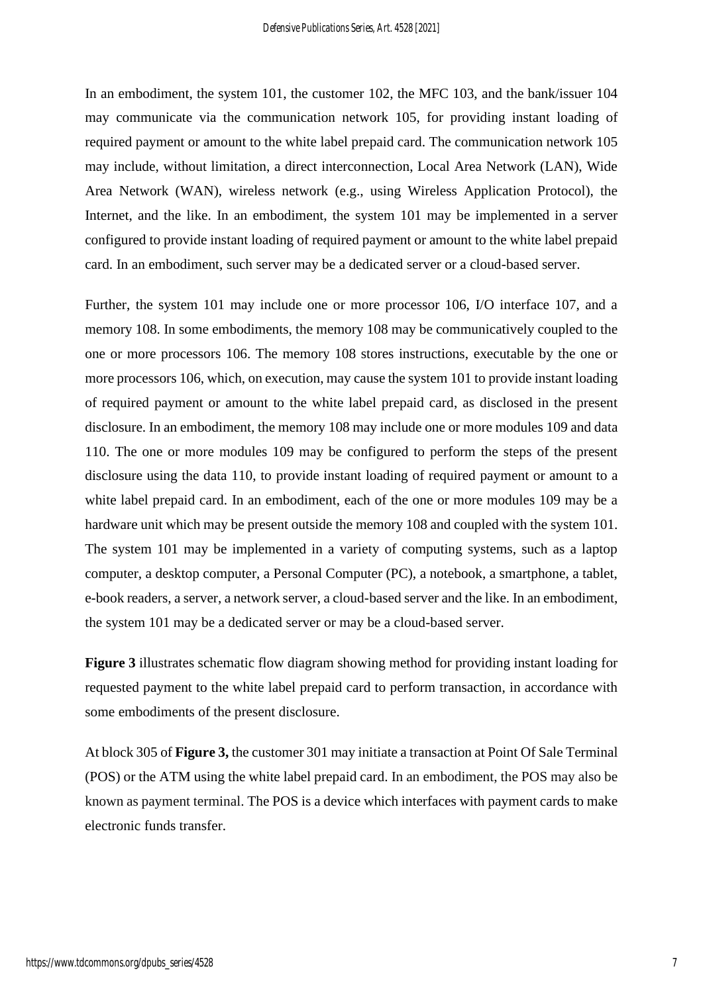In an embodiment, the system 101, the customer 102, the MFC 103, and the bank/issuer 104 may communicate via the communication network 105, for providing instant loading of required payment or amount to the white label prepaid card. The communication network 105 may include, without limitation, a direct interconnection, Local Area Network (LAN), Wide Area Network (WAN), wireless network (e.g., using Wireless Application Protocol), the Internet, and the like. In an embodiment, the system 101 may be implemented in a server configured to provide instant loading of required payment or amount to the white label prepaid card. In an embodiment, such server may be a dedicated server or a cloud-based server.

Further, the system 101 may include one or more processor 106, I/O interface 107, and a memory 108. In some embodiments, the memory 108 may be communicatively coupled to the one or more processors 106. The memory 108 stores instructions, executable by the one or more processors 106, which, on execution, may cause the system 101 to provide instant loading of required payment or amount to the white label prepaid card, as disclosed in the present disclosure. In an embodiment, the memory 108 may include one or more modules 109 and data 110. The one or more modules 109 may be configured to perform the steps of the present disclosure using the data 110, to provide instant loading of required payment or amount to a white label prepaid card. In an embodiment, each of the one or more modules 109 may be a hardware unit which may be present outside the memory 108 and coupled with the system 101. The system 101 may be implemented in a variety of computing systems, such as a laptop computer, a desktop computer, a Personal Computer (PC), a notebook, a smartphone, a tablet, e-book readers, a server, a network server, a cloud-based server and the like. In an embodiment, the system 101 may be a dedicated server or may be a cloud-based server.

**Figure 3** illustrates schematic flow diagram showing method for providing instant loading for requested payment to the white label prepaid card to perform transaction, in accordance with some embodiments of the present disclosure.

At block 305 of **Figure 3,** the customer 301 may initiate a transaction at Point Of Sale Terminal (POS) or the ATM using the white label prepaid card. In an embodiment, the POS may also be known as payment terminal. The POS is a device which interfaces with payment cards to make electronic funds transfer.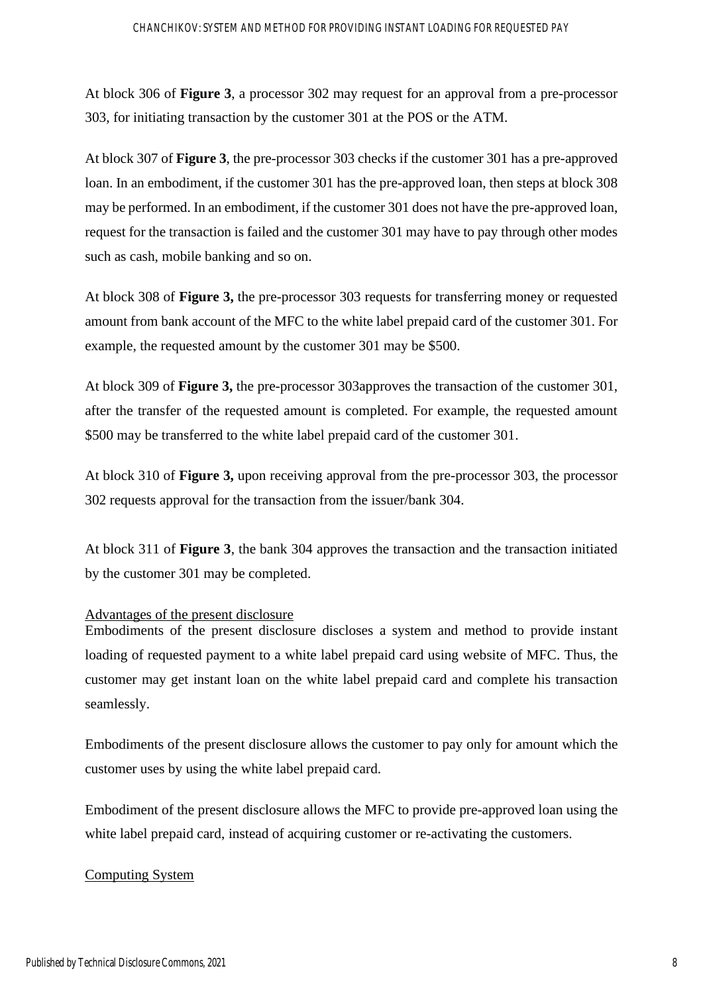At block 306 of **Figure 3**, a processor 302 may request for an approval from a pre-processor 303, for initiating transaction by the customer 301 at the POS or the ATM.

At block 307 of **Figure 3**, the pre-processor 303 checks if the customer 301 has a pre-approved loan. In an embodiment, if the customer 301 has the pre-approved loan, then steps at block 308 may be performed. In an embodiment, if the customer 301 does not have the pre-approved loan, request for the transaction is failed and the customer 301 may have to pay through other modes such as cash, mobile banking and so on.

At block 308 of **Figure 3,** the pre-processor 303 requests for transferring money or requested amount from bank account of the MFC to the white label prepaid card of the customer 301. For example, the requested amount by the customer 301 may be \$500.

At block 309 of **Figure 3,** the pre-processor 303approves the transaction of the customer 301, after the transfer of the requested amount is completed. For example, the requested amount \$500 may be transferred to the white label prepaid card of the customer 301.

At block 310 of **Figure 3,** upon receiving approval from the pre-processor 303, the processor 302 requests approval for the transaction from the issuer/bank 304.

At block 311 of **Figure 3**, the bank 304 approves the transaction and the transaction initiated by the customer 301 may be completed.

### Advantages of the present disclosure

Embodiments of the present disclosure discloses a system and method to provide instant loading of requested payment to a white label prepaid card using website of MFC. Thus, the customer may get instant loan on the white label prepaid card and complete his transaction seamlessly.

Embodiments of the present disclosure allows the customer to pay only for amount which the customer uses by using the white label prepaid card.

Embodiment of the present disclosure allows the MFC to provide pre-approved loan using the white label prepaid card, instead of acquiring customer or re-activating the customers.

#### Computing System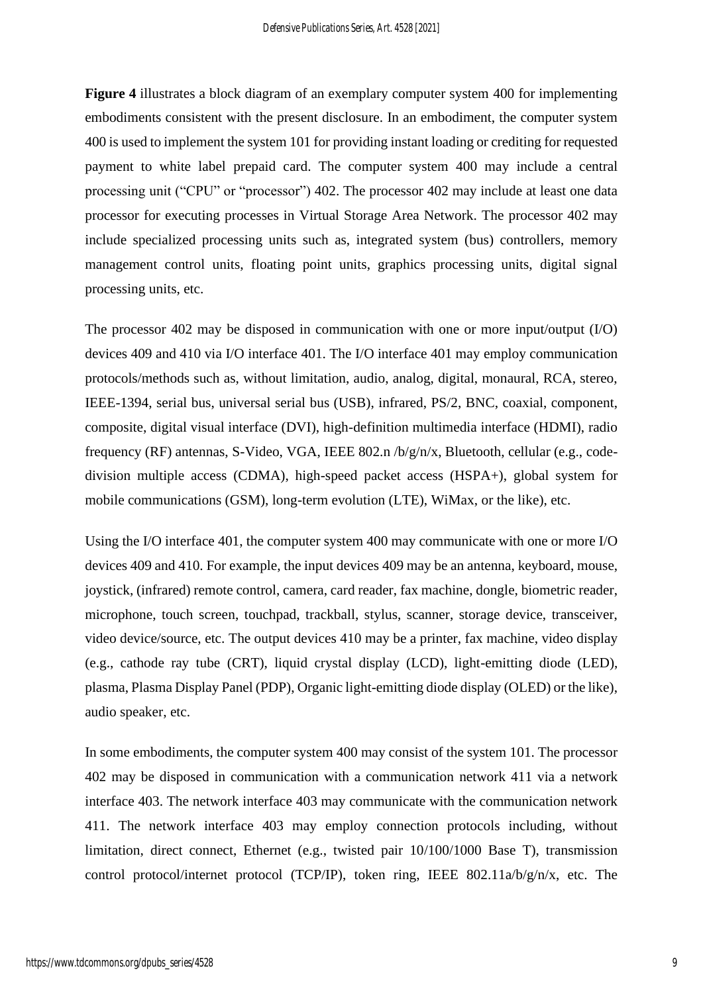**Figure 4** illustrates a block diagram of an exemplary computer system 400 for implementing embodiments consistent with the present disclosure. In an embodiment, the computer system 400 is used to implement the system 101 for providing instant loading or crediting for requested payment to white label prepaid card. The computer system 400 may include a central processing unit ("CPU" or "processor") 402. The processor 402 may include at least one data processor for executing processes in Virtual Storage Area Network. The processor 402 may include specialized processing units such as, integrated system (bus) controllers, memory management control units, floating point units, graphics processing units, digital signal processing units, etc.

The processor 402 may be disposed in communication with one or more input/output (I/O) devices 409 and 410 via I/O interface 401. The I/O interface 401 may employ communication protocols/methods such as, without limitation, audio, analog, digital, monaural, RCA, stereo, IEEE-1394, serial bus, universal serial bus (USB), infrared, PS/2, BNC, coaxial, component, composite, digital visual interface (DVI), high-definition multimedia interface (HDMI), radio frequency (RF) antennas, S-Video, VGA, IEEE 802.n /b/g/n/x, Bluetooth, cellular (e.g., codedivision multiple access (CDMA), high-speed packet access (HSPA+), global system for mobile communications (GSM), long-term evolution (LTE), WiMax, or the like), etc.

Using the I/O interface 401, the computer system 400 may communicate with one or more I/O devices 409 and 410. For example, the input devices 409 may be an antenna, keyboard, mouse, joystick, (infrared) remote control, camera, card reader, fax machine, dongle, biometric reader, microphone, touch screen, touchpad, trackball, stylus, scanner, storage device, transceiver, video device/source, etc. The output devices 410 may be a printer, fax machine, video display (e.g., cathode ray tube (CRT), liquid crystal display (LCD), light-emitting diode (LED), plasma, Plasma Display Panel (PDP), Organic light-emitting diode display (OLED) or the like), audio speaker, etc.

In some embodiments, the computer system 400 may consist of the system 101. The processor 402 may be disposed in communication with a communication network 411 via a network interface 403. The network interface 403 may communicate with the communication network 411. The network interface 403 may employ connection protocols including, without limitation, direct connect, Ethernet (e.g., twisted pair 10/100/1000 Base T), transmission control protocol/internet protocol (TCP/IP), token ring, IEEE 802.11a/b/g/n/x, etc. The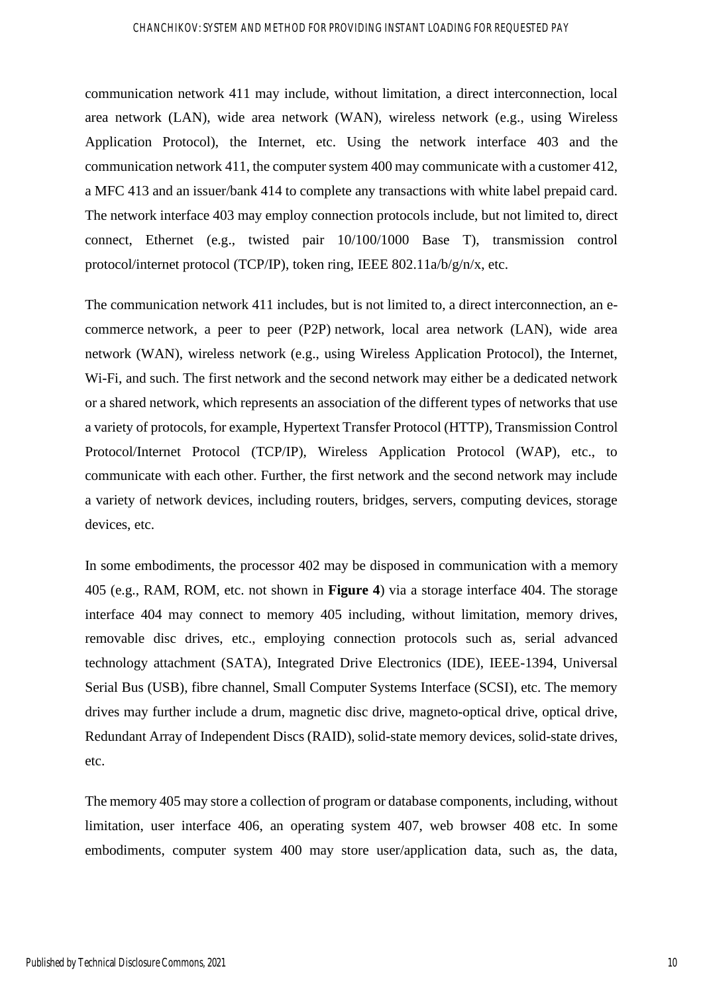#### CHANCHIKOV: SYSTEM AND METHOD FOR PROVIDING INSTANT LOADING FOR REQUESTED PAY

communication network 411 may include, without limitation, a direct interconnection, local area network (LAN), wide area network (WAN), wireless network (e.g., using Wireless Application Protocol), the Internet, etc. Using the network interface 403 and the communication network 411, the computer system 400 may communicate with a customer 412, a MFC 413 and an issuer/bank 414 to complete any transactions with white label prepaid card. The network interface 403 may employ connection protocols include, but not limited to, direct connect, Ethernet (e.g., twisted pair 10/100/1000 Base T), transmission control protocol/internet protocol (TCP/IP), token ring, IEEE 802.11a/b/g/n/x, etc.

The communication network 411 includes, but is not limited to, a direct interconnection, an ecommerce network, a peer to peer (P2P) network, local area network (LAN), wide area network (WAN), wireless network (e.g., using Wireless Application Protocol), the Internet, Wi-Fi, and such. The first network and the second network may either be a dedicated network or a shared network, which represents an association of the different types of networks that use a variety of protocols, for example, Hypertext Transfer Protocol (HTTP), Transmission Control Protocol/Internet Protocol (TCP/IP), Wireless Application Protocol (WAP), etc., to communicate with each other. Further, the first network and the second network may include a variety of network devices, including routers, bridges, servers, computing devices, storage devices, etc.

In some embodiments, the processor 402 may be disposed in communication with a memory 405 (e.g., RAM, ROM, etc. not shown in **Figure 4**) via a storage interface 404. The storage interface 404 may connect to memory 405 including, without limitation, memory drives, removable disc drives, etc., employing connection protocols such as, serial advanced technology attachment (SATA), Integrated Drive Electronics (IDE), IEEE-1394, Universal Serial Bus (USB), fibre channel, Small Computer Systems Interface (SCSI), etc. The memory drives may further include a drum, magnetic disc drive, magneto-optical drive, optical drive, Redundant Array of Independent Discs (RAID), solid-state memory devices, solid-state drives, etc.

The memory 405 may store a collection of program or database components, including, without limitation, user interface 406, an operating system 407, web browser 408 etc. In some embodiments, computer system 400 may store user/application data, such as, the data,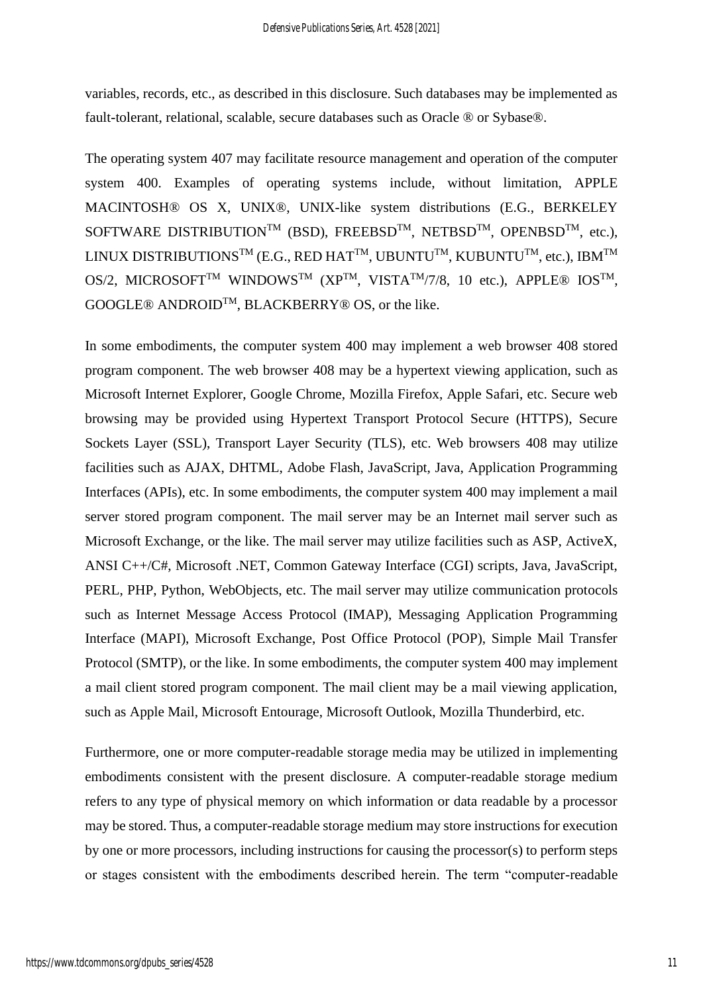variables, records, etc., as described in this disclosure. Such databases may be implemented as fault-tolerant, relational, scalable, secure databases such as Oracle ® or Sybase®.

The operating system 407 may facilitate resource management and operation of the computer system 400. Examples of operating systems include, without limitation, APPLE MACINTOSH® OS X, UNIX®, UNIX-like system distributions (E.G., BERKELEY SOFTWARE DISTRIBUTION<sup>TM</sup> (BSD), FREEBSD<sup>TM</sup>, NETBSD<sup>TM</sup>, OPENBSD<sup>TM</sup>, etc.), LINUX DISTRIBUTIONS<sup>TM</sup> (E.G., RED HAT<sup>TM</sup>, UBUNTU<sup>TM</sup>, KUBUNTU<sup>TM</sup>, etc.), IBM<sup>TM</sup> OS/2, MICROSOFT<sup>TM</sup> WINDOWS<sup>TM</sup> (XP<sup>TM</sup>, VISTA<sup>TM</sup>/7/8, 10 etc.), APPLE<sup>®</sup> IOS<sup>TM</sup>, GOOGLE® ANDROIDTM, BLACKBERRY® OS, or the like.

In some embodiments, the computer system 400 may implement a web browser 408 stored program component. The web browser 408 may be a hypertext viewing application, such as Microsoft Internet Explorer, Google Chrome, Mozilla Firefox, Apple Safari, etc. Secure web browsing may be provided using Hypertext Transport Protocol Secure (HTTPS), Secure Sockets Layer (SSL), Transport Layer Security (TLS), etc. Web browsers 408 may utilize facilities such as AJAX, DHTML, Adobe Flash, JavaScript, Java, Application Programming Interfaces (APIs), etc. In some embodiments, the computer system 400 may implement a mail server stored program component. The mail server may be an Internet mail server such as Microsoft Exchange, or the like. The mail server may utilize facilities such as ASP, ActiveX, ANSI C++/C#, Microsoft .NET, Common Gateway Interface (CGI) scripts, Java, JavaScript, PERL, PHP, Python, WebObjects, etc. The mail server may utilize communication protocols such as Internet Message Access Protocol (IMAP), Messaging Application Programming Interface (MAPI), Microsoft Exchange, Post Office Protocol (POP), Simple Mail Transfer Protocol (SMTP), or the like. In some embodiments, the computer system 400 may implement a mail client stored program component. The mail client may be a mail viewing application, such as Apple Mail, Microsoft Entourage, Microsoft Outlook, Mozilla Thunderbird, etc.

Furthermore, one or more computer-readable storage media may be utilized in implementing embodiments consistent with the present disclosure. A computer-readable storage medium refers to any type of physical memory on which information or data readable by a processor may be stored. Thus, a computer-readable storage medium may store instructions for execution by one or more processors, including instructions for causing the processor(s) to perform steps or stages consistent with the embodiments described herein. The term "computer-readable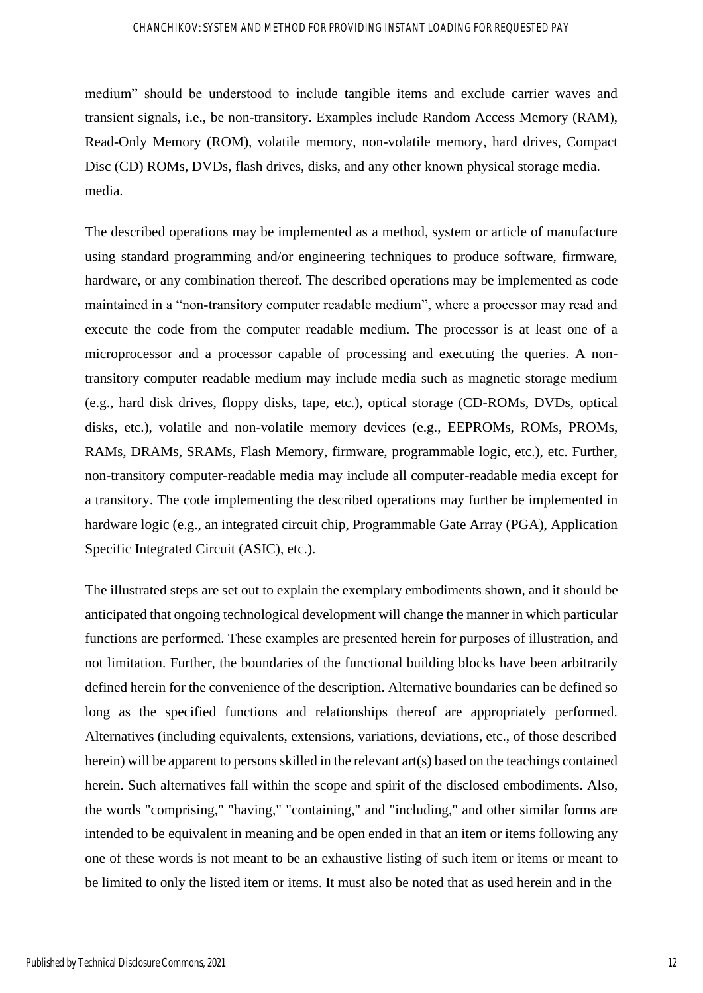medium" should be understood to include tangible items and exclude carrier waves and transient signals, i.e., be non-transitory. Examples include Random Access Memory (RAM), Read-Only Memory (ROM), volatile memory, non-volatile memory, hard drives, Compact Disc (CD) ROMs, DVDs, flash drives, disks, and any other known physical storage media. media.

The described operations may be implemented as a method, system or article of manufacture using standard programming and/or engineering techniques to produce software, firmware, hardware, or any combination thereof. The described operations may be implemented as code maintained in a "non-transitory computer readable medium", where a processor may read and execute the code from the computer readable medium. The processor is at least one of a microprocessor and a processor capable of processing and executing the queries. A nontransitory computer readable medium may include media such as magnetic storage medium (e.g., hard disk drives, floppy disks, tape, etc.), optical storage (CD-ROMs, DVDs, optical disks, etc.), volatile and non-volatile memory devices (e.g., EEPROMs, ROMs, PROMs, RAMs, DRAMs, SRAMs, Flash Memory, firmware, programmable logic, etc.), etc. Further, non-transitory computer-readable media may include all computer-readable media except for a transitory. The code implementing the described operations may further be implemented in hardware logic (e.g., an integrated circuit chip, Programmable Gate Array (PGA), Application Specific Integrated Circuit (ASIC), etc.).

The illustrated steps are set out to explain the exemplary embodiments shown, and it should be anticipated that ongoing technological development will change the manner in which particular functions are performed. These examples are presented herein for purposes of illustration, and not limitation. Further, the boundaries of the functional building blocks have been arbitrarily defined herein for the convenience of the description. Alternative boundaries can be defined so long as the specified functions and relationships thereof are appropriately performed. Alternatives (including equivalents, extensions, variations, deviations, etc., of those described herein) will be apparent to persons skilled in the relevant art(s) based on the teachings contained herein. Such alternatives fall within the scope and spirit of the disclosed embodiments. Also, the words "comprising," "having," "containing," and "including," and other similar forms are intended to be equivalent in meaning and be open ended in that an item or items following any one of these words is not meant to be an exhaustive listing of such item or items or meant to be limited to only the listed item or items. It must also be noted that as used herein and in the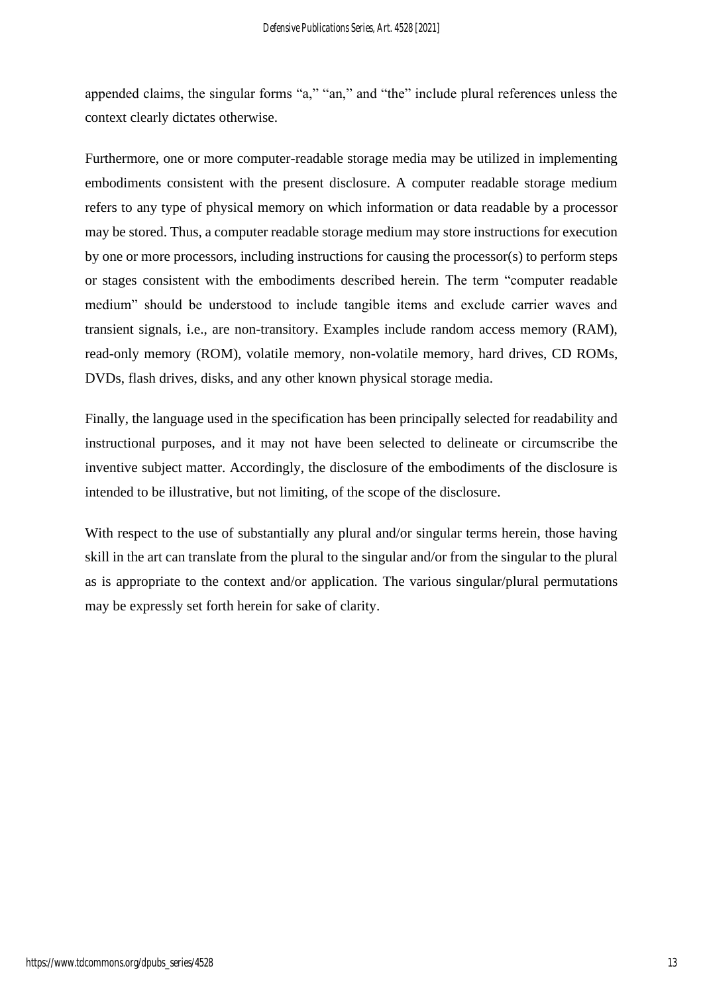appended claims, the singular forms "a," "an," and "the" include plural references unless the context clearly dictates otherwise.

Furthermore, one or more computer-readable storage media may be utilized in implementing embodiments consistent with the present disclosure. A computer readable storage medium refers to any type of physical memory on which information or data readable by a processor may be stored. Thus, a computer readable storage medium may store instructions for execution by one or more processors, including instructions for causing the processor(s) to perform steps or stages consistent with the embodiments described herein. The term "computer readable medium" should be understood to include tangible items and exclude carrier waves and transient signals, i.e., are non-transitory. Examples include random access memory (RAM), read-only memory (ROM), volatile memory, non-volatile memory, hard drives, CD ROMs, DVDs, flash drives, disks, and any other known physical storage media.

Finally, the language used in the specification has been principally selected for readability and instructional purposes, and it may not have been selected to delineate or circumscribe the inventive subject matter. Accordingly, the disclosure of the embodiments of the disclosure is intended to be illustrative, but not limiting, of the scope of the disclosure.

With respect to the use of substantially any plural and/or singular terms herein, those having skill in the art can translate from the plural to the singular and/or from the singular to the plural as is appropriate to the context and/or application. The various singular/plural permutations may be expressly set forth herein for sake of clarity.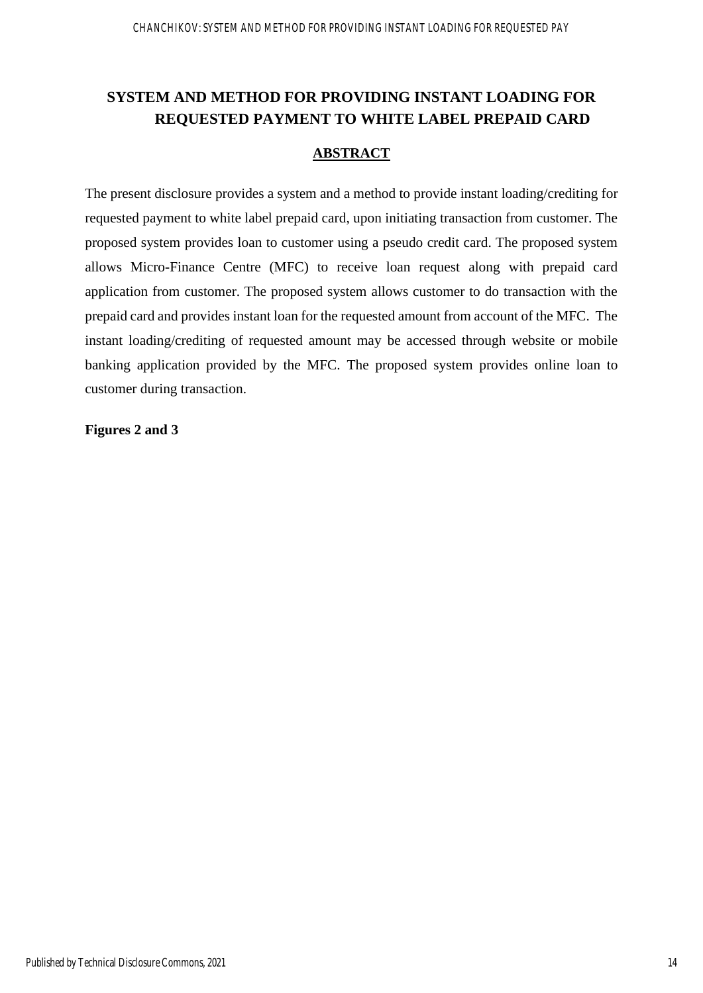# **SYSTEM AND METHOD FOR PROVIDING INSTANT LOADING FOR REQUESTED PAYMENT TO WHITE LABEL PREPAID CARD**

## **ABSTRACT**

The present disclosure provides a system and a method to provide instant loading/crediting for requested payment to white label prepaid card, upon initiating transaction from customer. The proposed system provides loan to customer using a pseudo credit card. The proposed system allows Micro-Finance Centre (MFC) to receive loan request along with prepaid card application from customer. The proposed system allows customer to do transaction with the prepaid card and provides instant loan for the requested amount from account of the MFC. The instant loading/crediting of requested amount may be accessed through website or mobile banking application provided by the MFC. The proposed system provides online loan to customer during transaction.

### **Figures 2 and 3**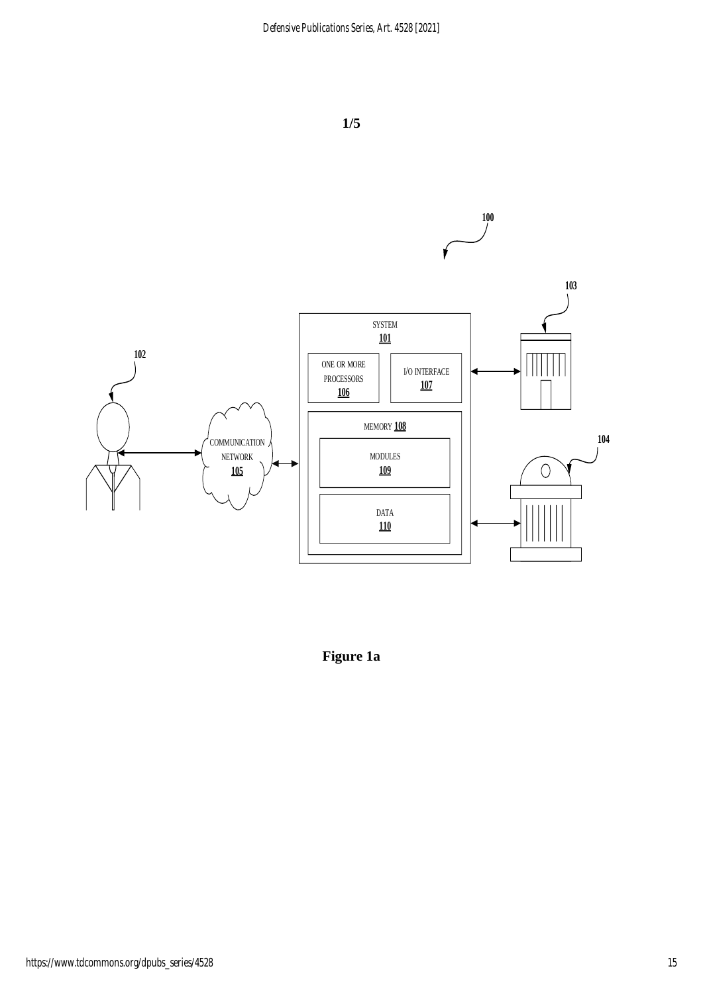

**1/5**

**Figure 1a**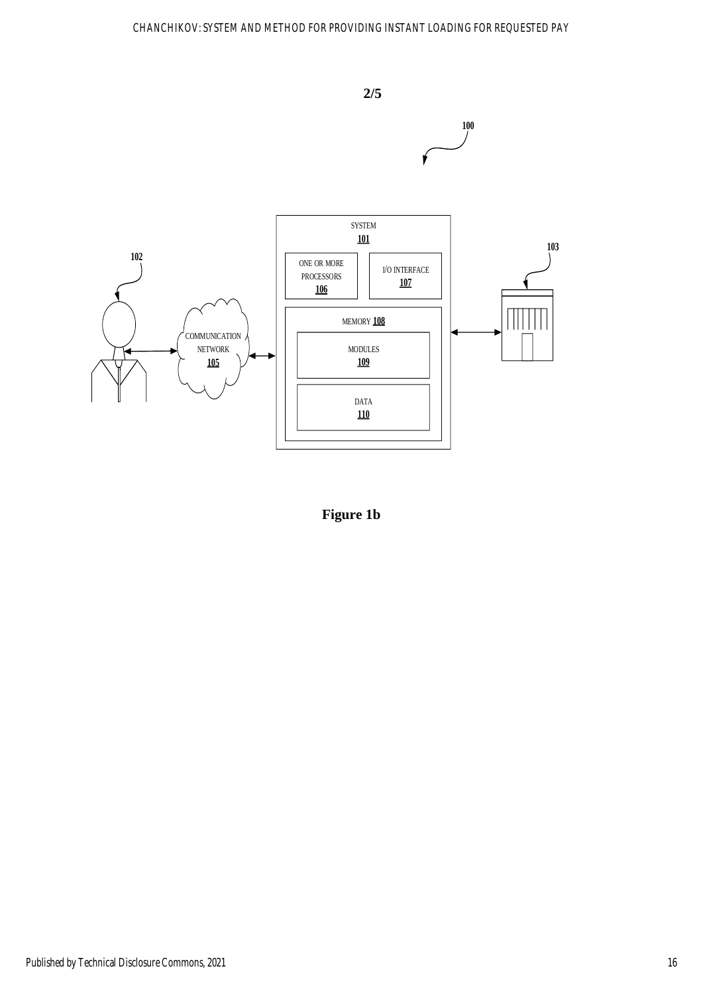## CHANCHIKOV: SYSTEM AND METHOD FOR PROVIDING INSTANT LOADING FOR REQUESTED PAY



**Figure 1b**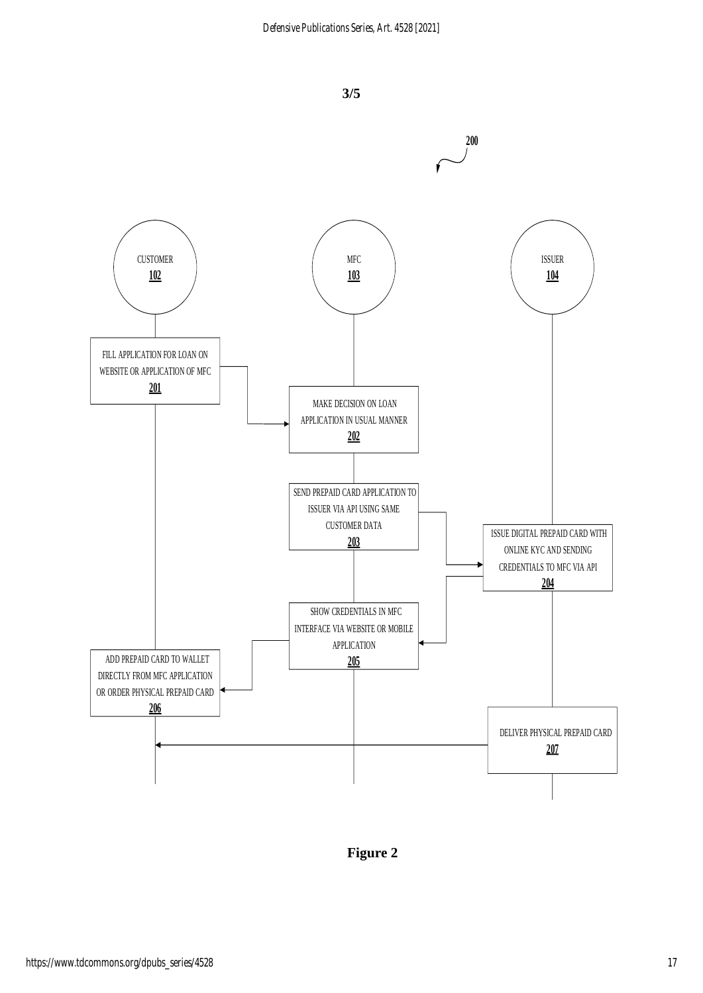

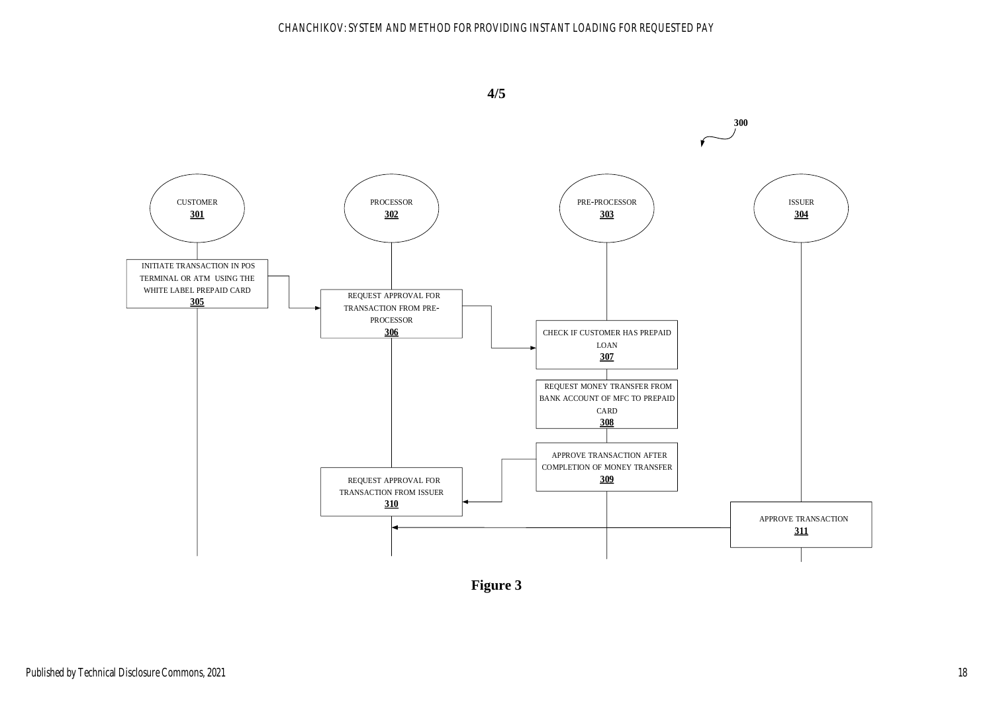### CHANCHIKOV: SYSTEM AND METHOD FOR PROVIDING INSTANT LOADING FOR REQUESTED PAY

**4/5**



**Figure 3**